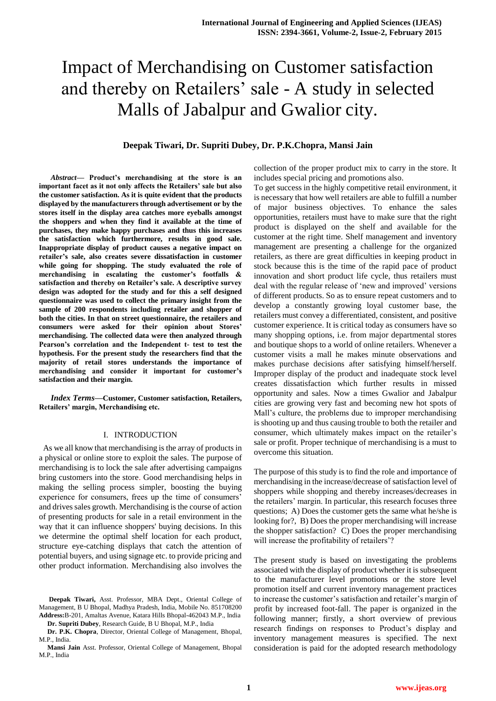# Impact of Merchandising on Customer satisfaction and thereby on Retailers' sale - A study in selected Malls of Jabalpur and Gwalior city.

# **Deepak Tiwari, Dr. Supriti Dubey, Dr. P.K.Chopra, Mansi Jain**

*Abstract***— Product's merchandising at the store is an important facet as it not only affects the Retailers' sale but also the customer satisfaction. As it is quite evident that the products displayed by the manufacturers through advertisement or by the stores itself in the display area catches more eyeballs amongst the shoppers and when they find it available at the time of purchases, they make happy purchases and thus this increases the satisfaction which furthermore, results in good sale. Inappropriate display of product causes a negative impact on retailer's sale, also creates severe dissatisfaction in customer while going for shopping. The study evaluated the role of merchandising in escalating the customer's footfalls & satisfaction and thereby on Retailer's sale. A descriptive survey design was adopted for the study and for this a self designed questionnaire was used to collect the primary insight from the sample of 200 respondents including retailer and shopper of both the cities. In that on street questionnaire, the retailers and consumers were asked for their opinion about Stores' merchandising. The collected data were then analyzed through Pearson's correlation and the Independent t- test to test the hypothesis. For the present study the researchers find that the majority of retail stores understands the importance of merchandising and consider it important for customer's satisfaction and their margin.**

*Index Terms***—Customer, Customer satisfaction, Retailers, Retailers' margin, Merchandising etc.**

#### I. INTRODUCTION

 As we all know that merchandising is the array of products in a physical or online store to exploit the sales. The purpose of merchandising is to lock the sale after advertising campaigns bring customers into the store. Good merchandising helps in making the selling process simpler, boosting the buying experience for consumers, frees up the time of consumers' and drives sales growth. Merchandising is the course of action of presenting products for sale in a retail environment in the way that it can influence shoppers' buying decisions. In this we determine the optimal shelf location for each product, structure eye-catching displays that catch the attention of potential buyers, and using signage etc. to provide pricing and other product information. Merchandising also involves the

**Dr. P.K. Chopra**, Director, Oriental College of Management, Bhopal, M.P., India.

**Mansi Jain** Asst. Professor, Oriental College of Management, Bhopal M.P. India

collection of the proper product mix to carry in the store. It includes special pricing and promotions also.

To get success in the highly competitive retail environment, it is necessary that how well retailers are able to fulfill a number of major business objectives. To enhance the sales opportunities, retailers must have to make sure that the right product is displayed on the shelf and available for the customer at the right time. Shelf management and inventory management are presenting a challenge for the organized retailers, as there are great difficulties in keeping product in stock because this is the time of the rapid pace of product innovation and short product life cycle, thus retailers must deal with the regular release of 'new and improved' versions of different products. So as to ensure repeat customers and to develop a constantly growing loyal customer base, the retailers must convey a differentiated, consistent, and positive customer experience. It is critical today as consumers have so many shopping options, i.e. from major departmental stores and boutique shops to a world of online retailers. Whenever a customer visits a mall he makes minute observations and makes purchase decisions after satisfying himself/herself. Improper display of the product and inadequate stock level creates dissatisfaction which further results in missed opportunity and sales. Now a times Gwalior and Jabalpur cities are growing very fast and becoming new hot spots of Mall"s culture, the problems due to improper merchandising is shooting up and thus causing trouble to both the retailer and consumer, which ultimately makes impact on the retailer"s sale or profit. Proper technique of merchandising is a must to overcome this situation.

The purpose of this study is to find the role and importance of merchandising in the increase/decrease of satisfaction level of shoppers while shopping and thereby increases/decreases in the retailers" margin. In particular, this research focuses three questions; A) Does the customer gets the same what he/she is looking for?, B) Does the proper merchandising will increase the shopper satisfaction? C) Does the proper merchandising will increase the profitability of retailers'?

The present study is based on investigating the problems associated with the display of product whether it is subsequent to the manufacturer level promotions or the store level promotion itself and current inventory management practices to increase the customer"s satisfaction and retailer"s margin of profit by increased foot-fall. The paper is organized in the following manner; firstly, a short overview of previous research findings on responses to Product's display and inventory management measures is specified. The next consideration is paid for the adopted research methodology

**Deepak Tiwari,** Asst. Professor, MBA Dept., Oriental College of Management, B U Bhopal, Madhya Pradesh, India, Mobile No. 851708200 **Address:**B-201, Amaltas Avenue, Katara Hills Bhopal-462043 M.P., India **Dr. Supriti Dubey**, Research Guide, B U Bhopal, M.P., India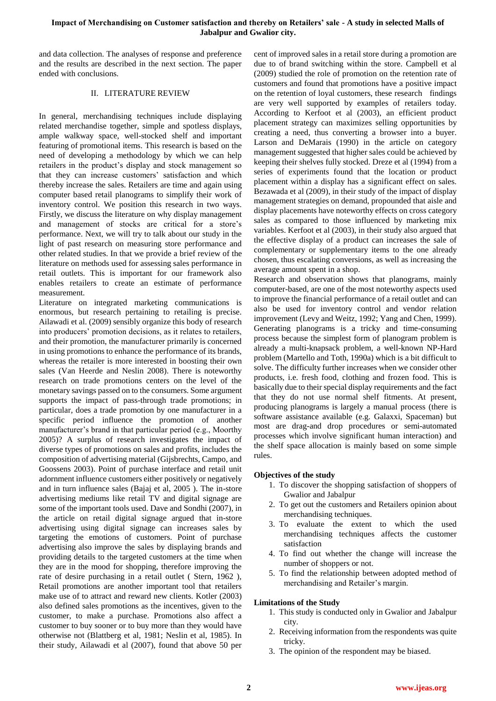# **Impact of Merchandising on Customer satisfaction and thereby on Retailers' sale - A study in selected Malls of Jabalpur and Gwalior city.**

and data collection. The analyses of response and preference and the results are described in the next section. The paper ended with conclusions.

# II. LITERATURE REVIEW

In general, merchandising techniques include displaying related merchandise together, simple and spotless displays, ample walkway space, well-stocked shelf and important featuring of promotional items. This research is based on the need of developing a methodology by which we can help retailers in the product"s display and stock management so that they can increase customers' satisfaction and which thereby increase the sales. Retailers are time and again using computer based retail planograms to simplify their work of inventory control. We position this research in two ways. Firstly, we discuss the literature on why display management and management of stocks are critical for a store"s performance. Next, we will try to talk about our study in the light of past research on measuring store performance and other related studies. In that we provide a brief review of the literature on methods used for assessing sales performance in retail outlets. This is important for our framework also enables retailers to create an estimate of performance measurement.

Literature on integrated marketing communications is enormous, but research pertaining to retailing is precise. Ailawadi et al. (2009) sensibly organize this body of research into producers" promotion decisions, as it relates to retailers, and their promotion, the manufacturer primarily is concerned in using promotions to enhance the performance of its brands, whereas the retailer is more interested in boosting their own sales (Van Heerde and Neslin 2008). There is noteworthy research on trade promotions centers on the level of the monetary savings passed on to the consumers. Some argument supports the impact of pass-through trade promotions; in particular, does a trade promotion by one manufacturer in a specific period influence the promotion of another manufacturer's brand in that particular period (e.g., Moorthy 2005)? A surplus of research investigates the impact of diverse types of promotions on sales and profits, includes the composition of advertising material (Gijsbrechts, Campo, and Goossens 2003). Point of purchase interface and retail unit adornment influence customers either positively or negatively and in turn influence sales (Bajaj et al, 2005 ). The in-store advertising mediums like retail TV and digital signage are some of the important tools used. Dave and Sondhi (2007), in the article on retail digital signage argued that in-store advertising using digital signage can increases sales by targeting the emotions of customers. Point of purchase advertising also improve the sales by displaying brands and providing details to the targeted customers at the time when they are in the mood for shopping, therefore improving the rate of desire purchasing in a retail outlet ( Stern, 1962 ), Retail promotions are another important tool that retailers make use of to attract and reward new clients. Kotler (2003) also defined sales promotions as the incentives, given to the customer, to make a purchase. Promotions also affect a customer to buy sooner or to buy more than they would have otherwise not (Blattberg et al, 1981; Neslin et al, 1985). In their study, Ailawadi et al (2007), found that above 50 per cent of improved sales in a retail store during a promotion are due to of brand switching within the store. Campbell et al (2009) studied the role of promotion on the retention rate of customers and found that promotions have a positive impact on the retention of loyal customers, these research findings are very well supported by examples of retailers today. According to Kerfoot et al (2003), an efficient product placement strategy can maximizes selling opportunities by creating a need, thus converting a browser into a buyer. Larson and DeMarais (1990) in the article on category management suggested that higher sales could be achieved by keeping their shelves fully stocked. Dreze et al (1994) from a series of experiments found that the location or product placement within a display has a significant effect on sales. Bezawada et al (2009), in their study of the impact of display management strategies on demand, propounded that aisle and display placements have noteworthy effects on cross category sales as compared to those influenced by marketing mix variables. Kerfoot et al (2003), in their study also argued that the effective display of a product can increases the sale of complementary or supplementary items to the one already chosen, thus escalating conversions, as well as increasing the average amount spent in a shop.

Research and observation shows that planograms, mainly computer-based, are one of the most noteworthy aspects used to improve the financial performance of a retail outlet and can also be used for inventory control and vendor relation improvement (Levy and Weitz, 1992; Yang and Chen, 1999). Generating planograms is a tricky and time-consuming process because the simplest form of planogram problem is already a multi-knapsack problem, a well-known NP-Hard problem (Martello and Toth, 1990a) which is a bit difficult to solve. The difficulty further increases when we consider other products, i.e. fresh food, clothing and frozen food. This is basically due to their special display requirements and the fact that they do not use normal shelf fitments. At present, producing planograms is largely a manual process (there is software assistance available (e.g. Galaxxi, Spaceman) but most are drag-and drop procedures or semi-automated processes which involve significant human interaction) and the shelf space allocation is mainly based on some simple rules.

## **Objectives of the study**

- 1. To discover the shopping satisfaction of shoppers of Gwalior and Jabalpur
- 2. To get out the customers and Retailers opinion about merchandising techniques.
- 3. To evaluate the extent to which the used merchandising techniques affects the customer satisfaction
- 4. To find out whether the change will increase the number of shoppers or not.
- 5. To find the relationship between adopted method of merchandising and Retailer's margin.

## **Limitations of the Study**

- 1. This study is conducted only in Gwalior and Jabalpur city.
- 2. Receiving information from the respondents was quite tricky.
- 3. The opinion of the respondent may be biased.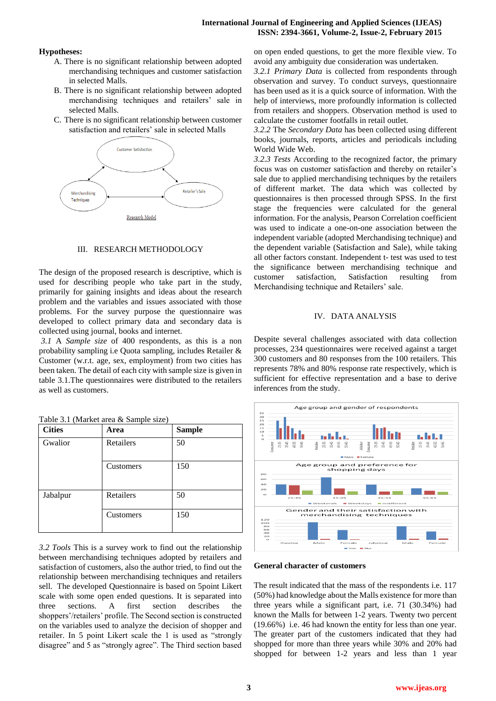# **International Journal of Engineering and Applied Sciences (IJEAS) ISSN: 2394-3661, Volume-2, Issue-2, February 2015**

# **Hypotheses:**

- A. There is no significant relationship between adopted merchandising techniques and customer satisfaction in selected Malls.
- B. There is no significant relationship between adopted merchandising techniques and retailers" sale in selected Malls.
- C. There is no significant relationship between customer satisfaction and retailers' sale in selected Malls



# III. RESEARCH METHODOLOGY

The design of the proposed research is descriptive, which is used for describing people who take part in the study, primarily for gaining insights and ideas about the research problem and the variables and issues associated with those problems. For the survey purpose the questionnaire was developed to collect primary data and secondary data is collected using journal, books and internet.

*3.1* A *Sample size* of 400 respondents, as this is a non probability sampling i.e Quota sampling, includes Retailer & Customer (w.r.t. age, sex, employment) from two cities has been taken. The detail of each city with sample size is given in table 3.1.The questionnaires were distributed to the retailers as well as customers.

| <b>Cities</b> | Area      | <b>Sample</b> |
|---------------|-----------|---------------|
| Gwalior       | Retailers | 50            |
|               | Customers | 150           |
| Jabalpur      | Retailers | 50            |
|               | Customers | 150           |

| Table 3.1 (Market area & Sample size) |  |  |
|---------------------------------------|--|--|
|                                       |  |  |

*3.2 Tools* This is a survey work to find out the relationship between merchandising techniques adopted by retailers and satisfaction of customers, also the author tried, to find out the relationship between merchandising techniques and retailers sell. The developed Questionnaire is based on 5point Likert scale with some open ended questions. It is separated into three sections. A first section describes the shoppers'/retailers' profile. The Second section is constructed on the variables used to analyze the decision of shopper and retailer. In 5 point Likert scale the 1 is used as "strongly disagree" and 5 as "strongly agree". The Third section based on open ended questions, to get the more flexible view. To avoid any ambiguity due consideration was undertaken.

*3.2.1 Primary Data* is collected from respondents through observation and survey. To conduct surveys, questionnaire has been used as it is a quick source of information. With the help of interviews, more profoundly information is collected from retailers and shoppers. Observation method is used to calculate the customer footfalls in retail outlet.

*3.2.2* The *Secondary Data* has been collected using different books, journals, reports, articles and periodicals including World Wide Web.

*3.2.3 Tests* According to the recognized factor, the primary focus was on customer satisfaction and thereby on retailer's sale due to applied merchandising techniques by the retailers of different market. The data which was collected by questionnaires is then processed through SPSS. In the first stage the frequencies were calculated for the general information. For the analysis, Pearson Correlation coefficient was used to indicate a one-on-one association between the independent variable (adopted Merchandising technique) and the dependent variable (Satisfaction and Sale), while taking all other factors constant. Independent t- test was used to test the significance between merchandising technique and customer satisfaction, Satisfaction resulting from Merchandising technique and Retailers' sale.

# IV. DATA ANALYSIS

Despite several challenges associated with data collection processes, 234 questionnaires were received against a target 300 customers and 80 responses from the 100 retailers. This represents 78% and 80% response rate respectively, which is sufficient for effective representation and a base to derive inferences from the study.



#### **General character of customers**

The result indicated that the mass of the respondents i.e. 117 (50%) had knowledge about the Malls existence for more than three years while a significant part, i.e. 71 (30.34%) had known the Malls for between 1-2 years. Twenty two percent (19.66%) i.e. 46 had known the entity for less than one year. The greater part of the customers indicated that they had shopped for more than three years while 30% and 20% had shopped for between 1-2 years and less than 1 year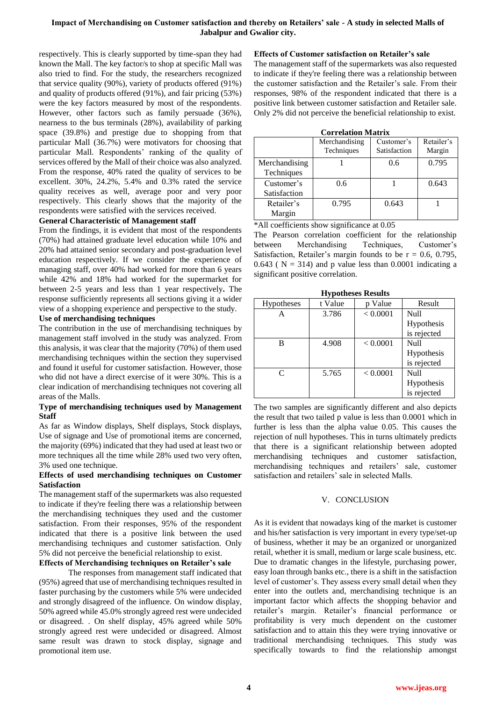# **Impact of Merchandising on Customer satisfaction and thereby on Retailers' sale - A study in selected Malls of Jabalpur and Gwalior city.**

respectively. This is clearly supported by time-span they had known the Mall. The key factor/s to shop at specific Mall was also tried to find. For the study, the researchers recognized that service quality (90%), variety of products offered (91%) and quality of products offered (91%), and fair pricing (53%) were the key factors measured by most of the respondents. However, other factors such as family persuade (36%), nearness to the bus terminals (28%), availability of parking space (39.8%) and prestige due to shopping from that particular Mall (36.7%) were motivators for choosing that particular Mall. Respondents' ranking of the quality of services offered by the Mall of their choice was also analyzed. From the response, 40% rated the quality of services to be excellent. 30%, 24.2%, 5.4% and 0.3% rated the service quality receives as well, average poor and very poor respectively. This clearly shows that the majority of the respondents were satisfied with the services received.

## **General Characteristic of Management staff**

From the findings, it is evident that most of the respondents (70%) had attained graduate level education while 10% and 20% had attained senior secondary and post-graduation level education respectively. If we consider the experience of managing staff, over 40% had worked for more than 6 years while 42% and 18% had worked for the supermarket for between 2-5 years and less than 1 year respectively**.** The response sufficiently represents all sections giving it a wider view of a shopping experience and perspective to the study.

#### **Use of merchandising techniques**

The contribution in the use of merchandising techniques by management staff involved in the study was analyzed. From this analysis, it was clear that the majority (70%) of them used merchandising techniques within the section they supervised and found it useful for customer satisfaction. However, those who did not have a direct exercise of it were 30%. This is a clear indication of merchandising techniques not covering all areas of the Malls.

#### **Type of merchandising techniques used by Management Staff**

As far as Window displays, Shelf displays, Stock displays, Use of signage and Use of promotional items are concerned, the majority (69%) indicated that they had used at least two or more techniques all the time while 28% used two very often, 3% used one technique.

## **Effects of used merchandising techniques on Customer Satisfaction**

The management staff of the supermarkets was also requested to indicate if they're feeling there was a relationship between the merchandising techniques they used and the customer satisfaction. From their responses, 95% of the respondent indicated that there is a positive link between the used merchandising techniques and customer satisfaction. Only 5% did not perceive the beneficial relationship to exist.

# **Effects of Merchandising techniques on Retailer's sale**

The responses from management staff indicated that (95%) agreed that use of merchandising techniques resulted in faster purchasing by the customers while 5% were undecided and strongly disagreed of the influence. On window display, 50% agreed while 45.0% strongly agreed rest were undecided or disagreed. . On shelf display, 45% agreed while 50% strongly agreed rest were undecided or disagreed. Almost same result was drawn to stock display, signage and promotional item use.

#### **Effects of Customer satisfaction on Retailer's sale**

The management staff of the supermarkets was also requested to indicate if they're feeling there was a relationship between the customer satisfaction and the Retailer"s sale. From their responses, 98% of the respondent indicated that there is a positive link between customer satisfaction and Retailer sale. Only 2% did not perceive the beneficial relationship to exist.

| Correiation Matrix |                             |                            |                      |  |  |  |
|--------------------|-----------------------------|----------------------------|----------------------|--|--|--|
|                    | Merchandising<br>Techniques | Customer's<br>Satisfaction | Retailer's<br>Margin |  |  |  |
|                    |                             |                            |                      |  |  |  |
| Merchandising      |                             | 0.6                        | 0.795                |  |  |  |
| Techniques         |                             |                            |                      |  |  |  |
| Customer's         | 0.6                         |                            | 0.643                |  |  |  |
| Satisfaction       |                             |                            |                      |  |  |  |
| Retailer's         | 0.795                       | 0.643                      |                      |  |  |  |
| Margin             |                             |                            |                      |  |  |  |

\*All coefficients show significance at 0.05

The Pearson correlation coefficient for the relationship between Merchandising Techniques, Customer's Satisfaction, Retailer's margin founds to be  $r = 0.6, 0.795$ , 0.643 ( $N = 314$ ) and p value less than 0.0001 indicating a significant positive correlation.

| <b>Hypotheses Results</b>   |         |          |             |  |  |  |  |
|-----------------------------|---------|----------|-------------|--|--|--|--|
| <b>Hypotheses</b>           | t Value | p Value  | Result      |  |  |  |  |
| А                           | 3.786   | < 0.0001 | Null        |  |  |  |  |
|                             |         |          | Hypothesis  |  |  |  |  |
|                             |         |          | is rejected |  |  |  |  |
| B                           | 4.908   | < 0.0001 | Null        |  |  |  |  |
|                             |         |          | Hypothesis  |  |  |  |  |
|                             |         |          | is rejected |  |  |  |  |
| $\mathcal{C}_{\mathcal{C}}$ | 5.765   | < 0.0001 | Null        |  |  |  |  |
|                             |         |          | Hypothesis  |  |  |  |  |
|                             |         |          | is rejected |  |  |  |  |

The two samples are significantly different and also depicts the result that two tailed p value is less than 0.0001 which in further is less than the alpha value 0.05. This causes the rejection of null hypotheses. This in turns ultimately predicts that there is a significant relationship between adopted merchandising techniques and customer satisfaction, merchandising techniques and retailers" sale, customer satisfaction and retailers' sale in selected Malls.

#### V. CONCLUSION

As it is evident that nowadays king of the market is customer and his/her satisfaction is very important in every type/set-up of business, whether it may be an organized or unorganized retail, whether it is small, medium or large scale business, etc. Due to dramatic changes in the lifestyle, purchasing power, easy loan through banks etc., there is a shift in the satisfaction level of customer's. They assess every small detail when they enter into the outlets and, merchandising technique is an important factor which affects the shopping behavior and retailer"s margin. Retailer"s financial performance or profitability is very much dependent on the customer satisfaction and to attain this they were trying innovative or traditional merchandising techniques. This study was specifically towards to find the relationship amongst